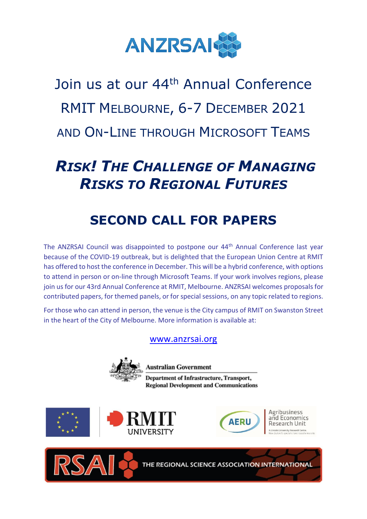

Join us at our 44<sup>th</sup> Annual Conference RMIT MELBOURNE, 6-7 DECEMBER 2021 AND ON-LINE THROUGH MICROSOFT TEAMS

# *RISK! THE CHALLENGE OF MANAGING RISKS TO REGIONAL FUTURES*

## **SECOND CALL FOR PAPERS**

The ANZRSAI Council was disappointed to postpone our 44th Annual Conference last year because of the COVID-19 outbreak, but is delighted that the European Union Centre at RMIT has offered to host the conference in December. This will be a hybrid conference, with options to attend in person or on-line through Microsoft Teams. If your work involves regions, please join us for our 43rd Annual Conference at RMIT, Melbourne. ANZRSAI welcomes proposals for contributed papers, for themed panels, or for special sessions, on any topic related to regions.

For those who can attend in person, the venue is the City campus of RMIT on Swanston Street in the heart of the City of Melbourne. More information is available at:

#### [www.anzrsai.org](http://www.anzrsai.org/)



**Australian Government** 

Department of Infrastructure, Transport, **Regional Development and Communications** 







Agribusiness and Economics

THE REGIONAL SCIENCE ASSOCIATION INTERNATIONAL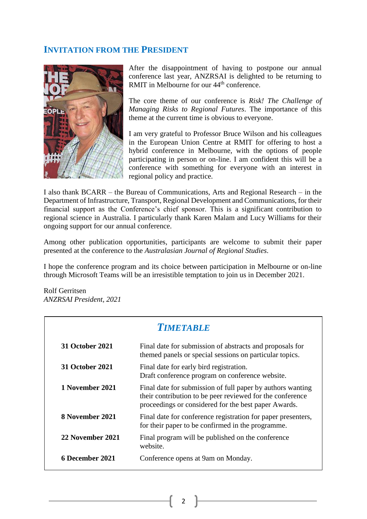#### **INVITATION FROM THE PRESIDENT**



After the disappointment of having to postpone our annual conference last year, ANZRSAI is delighted to be returning to RMIT in Melbourne for our  $44<sup>th</sup>$  conference.

The core theme of our conference is *Risk! The Challenge of Managing Risks to Regional Futures*. The importance of this theme at the current time is obvious to everyone.

I am very grateful to Professor Bruce Wilson and his colleagues in the European Union Centre at RMIT for offering to host a hybrid conference in Melbourne, with the options of people participating in person or on-line. I am confident this will be a conference with something for everyone with an interest in regional policy and practice.

I also thank BCARR – the Bureau of Communications, Arts and Regional Research – in the Department of Infrastructure, Transport, Regional Development and Communications, for their financial support as the Conference's chief sponsor. This is a significant contribution to regional science in Australia. I particularly thank Karen Malam and Lucy Williams for their ongoing support for our annual conference.

Among other publication opportunities, participants are welcome to submit their paper presented at the conference to the *Australasian Journal of Regional Studies*.

I hope the conference program and its choice between participation in Melbourne or on-line through Microsoft Teams will be an irresistible temptation to join us in December 2021.

Rolf Gerritsen *ANZRSAI President, 2021*

| <b>TIMETABLE</b>       |                                                                                                                                                                                 |  |
|------------------------|---------------------------------------------------------------------------------------------------------------------------------------------------------------------------------|--|
| <b>31 October 2021</b> | Final date for submission of abstracts and proposals for<br>themed panels or special sessions on particular topics.                                                             |  |
| <b>31 October 2021</b> | Final date for early bird registration.<br>Draft conference program on conference website.                                                                                      |  |
| 1 November 2021        | Final date for submission of full paper by authors wanting<br>their contribution to be peer reviewed for the conference<br>proceedings or considered for the best paper Awards. |  |
| 8 November 2021        | Final date for conference registration for paper presenters,<br>for their paper to be confirmed in the programme.                                                               |  |
| 22 November 2021       | Final program will be published on the conference<br>website.                                                                                                                   |  |
| 6 December 2021        | Conference opens at 9am on Monday.                                                                                                                                              |  |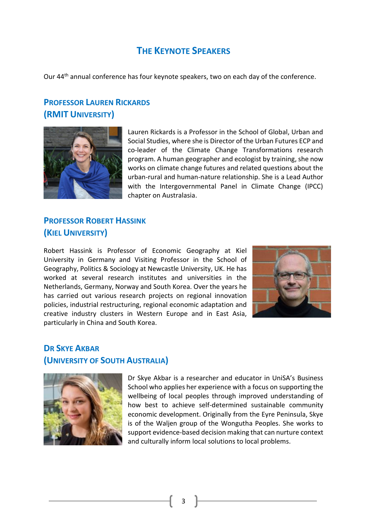### **THE KEYNOTE SPEAKERS**

Our 44<sup>th</sup> annual conference has four keynote speakers, two on each day of the conference.

## **PROFESSOR LAUREN RICKARDS (RMIT UNIVERSITY)**



Lauren Rickards is a Professor in the School of Global, Urban and Social Studies, where she is Director of the Urban Futures ECP and co-leader of the Climate Change Transformations research program. A human geographer and ecologist by training, she now works on climate change futures and related questions about the urban-rural and human-nature relationship. She is a Lead Author with the Intergovernmental Panel in Climate Change (IPCC) chapter on Australasia.

#### **PROFESSOR ROBERT HASSINK (KIEL UNIVERSITY)**

Robert Hassink is Professor of Economic Geography at Kiel University in Germany and Visiting Professor in the School of Geography, Politics & Sociology at Newcastle University, UK. He has worked at several research institutes and universities in the Netherlands, Germany, Norway and South Korea. Over the years he has carried out various research projects on regional innovation policies, industrial restructuring, regional economic adaptation and creative industry clusters in Western Europe and in East Asia, particularly in China and South Korea.



#### **DR SKYE AKBAR (UNIVERSITY OF SOUTH AUSTRALIA)**



Dr Skye Akbar is a researcher and educator in UniSA's Business School who applies her experience with a focus on supporting the wellbeing of local peoples through improved understanding of how best to achieve self-determined sustainable community economic development. Originally from the Eyre Peninsula, Skye is of the Waljen group of the Wongutha Peoples. She works to support evidence-based decision making that can nurture context and culturally inform local solutions to local problems.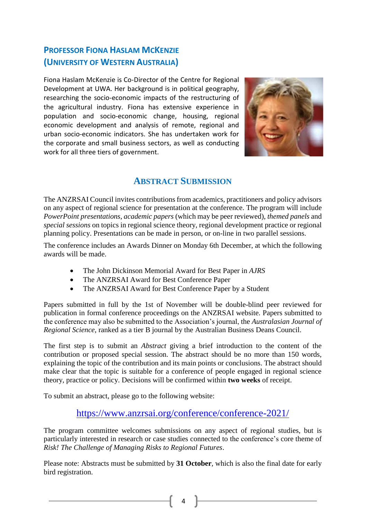## **PROFESSOR FIONA HASLAM MCKENZIE (UNIVERSITY OF WESTERN AUSTRALIA)**

Fiona Haslam McKenzie is Co-Director of the Centre for Regional Development at UWA. Her background is in political geography, researching the socio-economic impacts of the restructuring of the agricultural industry. Fiona has extensive experience in population and socio-economic change, housing, regional economic development and analysis of remote, regional and urban socio-economic indicators. She has undertaken work for the corporate and small business sectors, as well as conducting work for all three tiers of government.



#### **ABSTRACT SUBMISSION**

The ANZRSAI Council invites contributions from academics, practitioners and policy advisors on any aspect of regional science for presentation at the conference. The program will include *PowerPoint presentations*, *academic papers* (which may be peer reviewed), *themed panels* and *special sessions* on topics in regional science theory, regional development practice or regional planning policy. Presentations can be made in person, or on-line in two parallel sessions.

The conference includes an Awards Dinner on Monday 6th December, at which the following awards will be made.

- The John Dickinson Memorial Award for Best Paper in *AJRS*
- The ANZRSAI Award for Best Conference Paper
- The ANZRSAI Award for Best Conference Paper by a Student

Papers submitted in full by the 1st of November will be double-blind peer reviewed for publication in formal conference proceedings on the ANZRSAI website. Papers submitted to the conference may also be submitted to the Association's journal, the *Australasian Journal of Regional Science*, ranked as a tier B journal by the Australian Business Deans Council.

The first step is to submit an *Abstract* giving a brief introduction to the content of the contribution or proposed special session. The abstract should be no more than 150 words, explaining the topic of the contribution and its main points or conclusions. The abstract should make clear that the topic is suitable for a conference of people engaged in regional science theory, practice or policy. Decisions will be confirmed within **two weeks** of receipt.

To submit an abstract, please go to the following website:

#### <https://www.anzrsai.org/conference/conference-2021/>

The program committee welcomes submissions on any aspect of regional studies, but is particularly interested in research or case studies connected to the conference's core theme of *Risk! The Challenge of Managing Risks to Regional Futures*.

Please note: Abstracts must be submitted by **31 October**, which is also the final date for early bird registration.

4